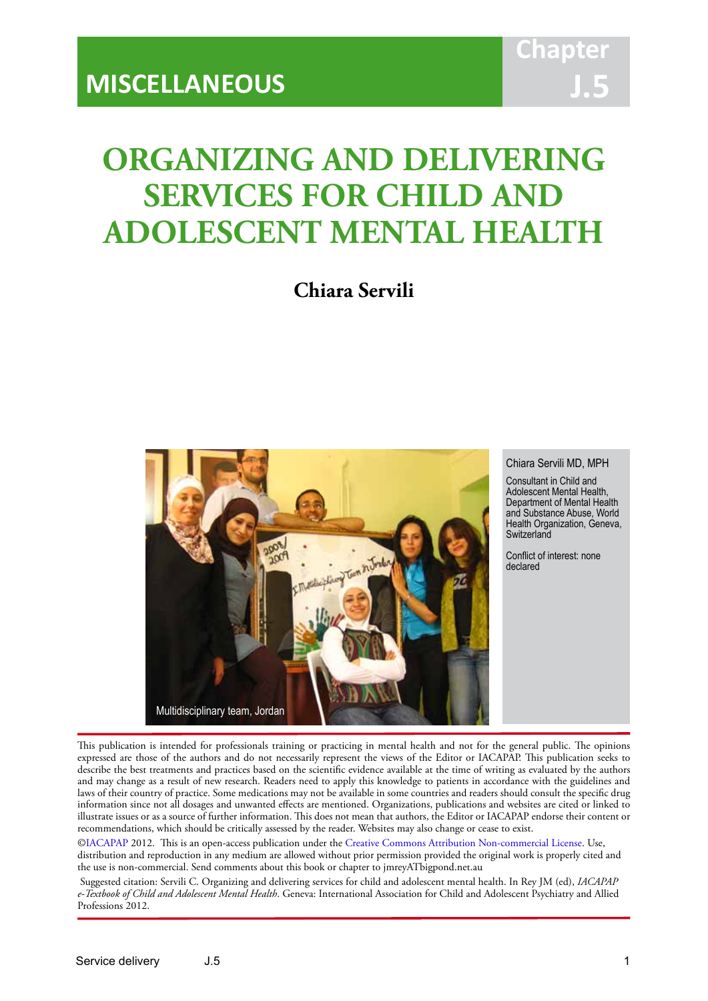# **ORGANIZING AND DELIVERING SERVICES FOR CHILD AND ADOLESCENT MENTAL HEALTH**

IACAPAP Textbook of Child and Adolescent Mental Health

**Chiara Servili**



#### Chiara Servili MD, MPH

Consultant in Child and Adolescent Mental Health, Department of Mental Health and Substance Abuse, World Health Organization, Geneva, **Switzerland** 

Conflict of interest: none declared

This publication is intended for professionals training or practicing in mental health and not for the general public. The opinions expressed are those of the authors and do not necessarily represent the views of the Editor or IACAPAP. This publication seeks to describe the best treatments and practices based on the scientific evidence available at the time of writing as evaluated by the authors and may change as a result of new research. Readers need to apply this knowledge to patients in accordance with the guidelines and laws of their country of practice. Some medications may not be available in some countries and readers should consult the specific drug information since not all dosages and unwanted effects are mentioned. Organizations, publications and websites are cited or linked to illustrate issues or as a source of further information. This does not mean that authors, the Editor or IACAPAP endorse their content or recommendations, which should be critically assessed by the reader. Websites may also change or cease to exist.

[©IACAPAP](http://iacapap.org/) 2012. This is an open-access publication under the [Creative Commons Attribution Non-commercial License](http://creativecommons.org/licenses/by-nc/2.0/). Use, distribution and reproduction in any medium are allowed without prior permission provided the original work is properly cited and the use is non-commercial. Send comments about this book or chapter to jmreyATbigpond.net.au

 Suggested citation: Servili C. Organizing and delivering services for child and adolescent mental health. In Rey JM (ed), *IACAPAP e-Textbook of Child and Adolescent Mental Health*. Geneva: International Association for Child and Adolescent Psychiatry and Allied Professions 2012.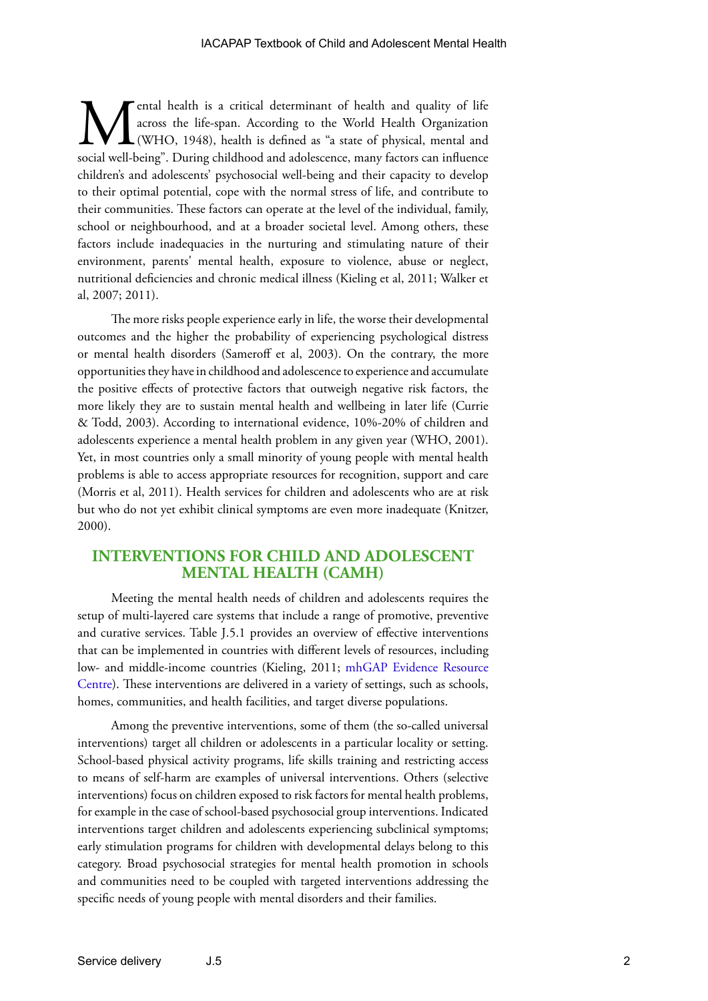**M**ental health is a critical determinant of health and quality of life across the life-span. According to the World Health Organization (WHO, 1948), health is defined as "a state of physical, mental and social well-being" across the life-span. According to the World Health Organization (WHO, 1948), health is defined as "a state of physical, mental and social well-being". During childhood and adolescence, many factors can influence children's and adolescents' psychosocial well-being and their capacity to develop to their optimal potential, cope with the normal stress of life, and contribute to their communities. These factors can operate at the level of the individual, family, school or neighbourhood, and at a broader societal level. Among others, these factors include inadequacies in the nurturing and stimulating nature of their environment, parents' mental health, exposure to violence, abuse or neglect, nutritional deficiencies and chronic medical illness (Kieling et al, 2011; Walker et al, 2007; 2011).

The more risks people experience early in life, the worse their developmental outcomes and the higher the probability of experiencing psychological distress or mental health disorders (Sameroff et al, 2003). On the contrary, the more opportunities they have in childhood and adolescence to experience and accumulate the positive effects of protective factors that outweigh negative risk factors, the more likely they are to sustain mental health and wellbeing in later life (Currie & Todd, 2003). According to international evidence, 10%-20% of children and adolescents experience a mental health problem in any given year (WHO, 2001). Yet, in most countries only a small minority of young people with mental health problems is able to access appropriate resources for recognition, support and care (Morris et al, 2011). Health services for children and adolescents who are at risk but who do not yet exhibit clinical symptoms are even more inadequate (Knitzer, 2000).

## **INTERVENTIONS FOR CHILD AND ADOLESCENT MENTAL HEALTH (CAMH)**

Meeting the mental health needs of children and adolescents requires the setup of multi-layered care systems that include a range of promotive, preventive and curative services. Table J.5.1 provides an overview of effective interventions that can be implemented in countries with different levels of resources, including low- and middle-income countries (Kieling, 2011; [mhGAP Evidence Resource](http://www.who.int/mental_health/mhgap/evidence/en/)  [Centre](http://www.who.int/mental_health/mhgap/evidence/en/)). These interventions are delivered in a variety of settings, such as schools, homes, communities, and health facilities, and target diverse populations.

Among the preventive interventions, some of them (the so-called universal interventions) target all children or adolescents in a particular locality or setting. School-based physical activity programs, life skills training and restricting access to means of self-harm are examples of universal interventions. Others (selective interventions) focus on children exposed to risk factors for mental health problems, for example in the case of school-based psychosocial group interventions. Indicated interventions target children and adolescents experiencing subclinical symptoms; early stimulation programs for children with developmental delays belong to this category. Broad psychosocial strategies for mental health promotion in schools and communities need to be coupled with targeted interventions addressing the specific needs of young people with mental disorders and their families.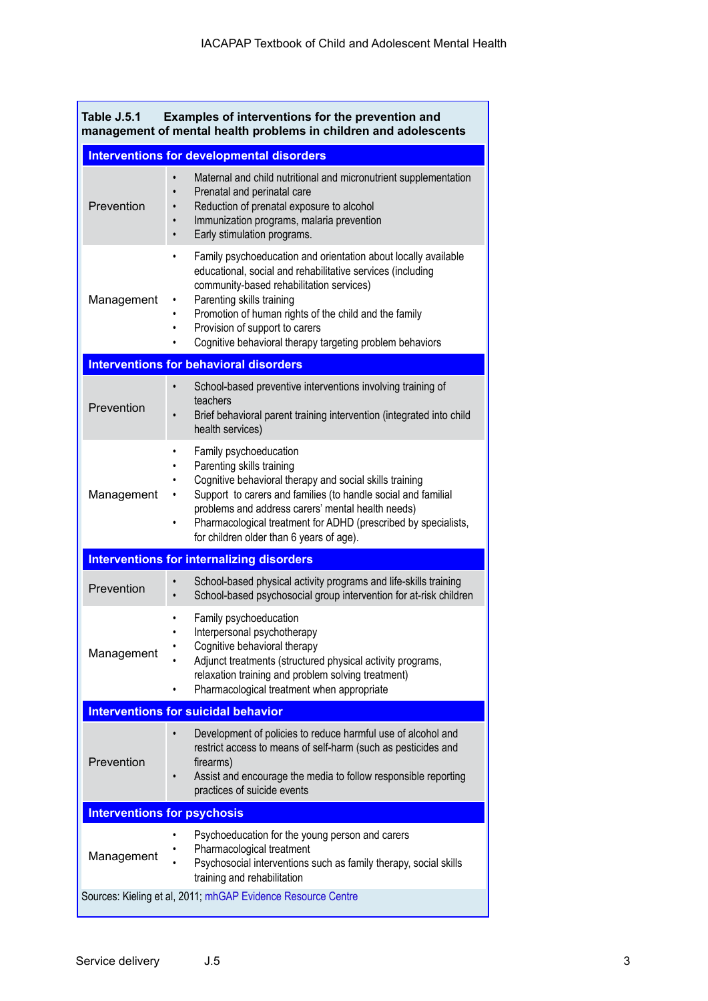| Table J.5.1<br>Examples of interventions for the prevention and<br>management of mental health problems in children and adolescents |                                                                                                                                                                                                                                                                                                                                                                                |  |
|-------------------------------------------------------------------------------------------------------------------------------------|--------------------------------------------------------------------------------------------------------------------------------------------------------------------------------------------------------------------------------------------------------------------------------------------------------------------------------------------------------------------------------|--|
|                                                                                                                                     | <b>Interventions for developmental disorders</b>                                                                                                                                                                                                                                                                                                                               |  |
| Prevention                                                                                                                          | Maternal and child nutritional and micronutrient supplementation<br>$\bullet$<br>Prenatal and perinatal care<br>$\bullet$<br>Reduction of prenatal exposure to alcohol<br>Immunization programs, malaria prevention<br>$\bullet$<br>Early stimulation programs.<br>$\bullet$                                                                                                   |  |
| Management                                                                                                                          | Family psychoeducation and orientation about locally available<br>$\bullet$<br>educational, social and rehabilitative services (including<br>community-based rehabilitation services)<br>Parenting skills training<br>٠<br>Promotion of human rights of the child and the family<br>Provision of support to carers<br>Cognitive behavioral therapy targeting problem behaviors |  |
| <b>Interventions for behavioral disorders</b>                                                                                       |                                                                                                                                                                                                                                                                                                                                                                                |  |
| Prevention                                                                                                                          | School-based preventive interventions involving training of<br>teachers<br>Brief behavioral parent training intervention (integrated into child<br>health services)                                                                                                                                                                                                            |  |
| Management                                                                                                                          | Family psychoeducation<br>٠<br>Parenting skills training<br>Cognitive behavioral therapy and social skills training<br>Support to carers and families (to handle social and familial<br>problems and address carers' mental health needs)<br>Pharmacological treatment for ADHD (prescribed by specialists,<br>$\bullet$<br>for children older than 6 years of age).           |  |
| <b>Interventions for internalizing disorders</b>                                                                                    |                                                                                                                                                                                                                                                                                                                                                                                |  |
| Prevention                                                                                                                          | School-based physical activity programs and life-skills training<br>School-based psychosocial group intervention for at-risk children                                                                                                                                                                                                                                          |  |
| Management                                                                                                                          | Family psychoeducation<br>$\bullet$<br>Interpersonal psychotherapy<br>$\bullet$<br>Cognitive behavioral therapy<br>Adjunct treatments (structured physical activity programs,<br>relaxation training and problem solving treatment)<br>Pharmacological treatment when appropriate                                                                                              |  |
|                                                                                                                                     | <b>Interventions for suicidal behavior</b>                                                                                                                                                                                                                                                                                                                                     |  |
| Prevention                                                                                                                          | Development of policies to reduce harmful use of alcohol and<br>$\bullet$<br>restrict access to means of self-harm (such as pesticides and<br>firearms)<br>Assist and encourage the media to follow responsible reporting<br>practices of suicide events                                                                                                                       |  |
| <b>Interventions for psychosis</b>                                                                                                  |                                                                                                                                                                                                                                                                                                                                                                                |  |
| Management                                                                                                                          | Psychoeducation for the young person and carers<br>Pharmacological treatment<br>Psychosocial interventions such as family therapy, social skills<br>training and rehabilitation                                                                                                                                                                                                |  |
| Sources: Kieling et al, 2011; mhGAP Evidence Resource Centre                                                                        |                                                                                                                                                                                                                                                                                                                                                                                |  |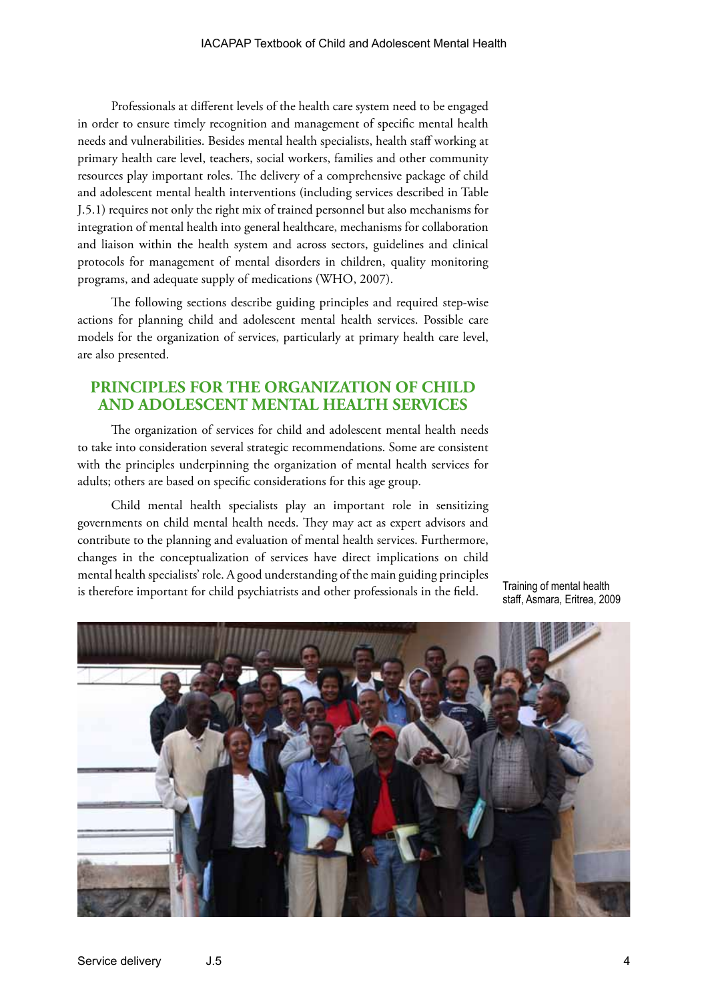Professionals at different levels of the health care system need to be engaged in order to ensure timely recognition and management of specific mental health needs and vulnerabilities. Besides mental health specialists, health staff working at primary health care level, teachers, social workers, families and other community resources play important roles. The delivery of a comprehensive package of child and adolescent mental health interventions (including services described in Table J.5.1) requires not only the right mix of trained personnel but also mechanisms for integration of mental health into general healthcare, mechanisms for collaboration and liaison within the health system and across sectors, guidelines and clinical protocols for management of mental disorders in children, quality monitoring programs, and adequate supply of medications (WHO, 2007).

The following sections describe guiding principles and required step-wise actions for planning child and adolescent mental health services. Possible care models for the organization of services, particularly at primary health care level, are also presented.

# **PRINCIPLES FOR THE ORGANIZATION OF CHILD AND ADOLESCENT MENTAL HEALTH SERVICES**

The organization of services for child and adolescent mental health needs to take into consideration several strategic recommendations. Some are consistent with the principles underpinning the organization of mental health services for adults; others are based on specific considerations for this age group.

Child mental health specialists play an important role in sensitizing governments on child mental health needs. They may act as expert advisors and contribute to the planning and evaluation of mental health services. Furthermore, changes in the conceptualization of services have direct implications on child mental health specialists' role. A good understanding of the main guiding principles is therefore important for child psychiatrists and other professionals in the field.

Training of mental health staff, Asmara, Eritrea, 2009

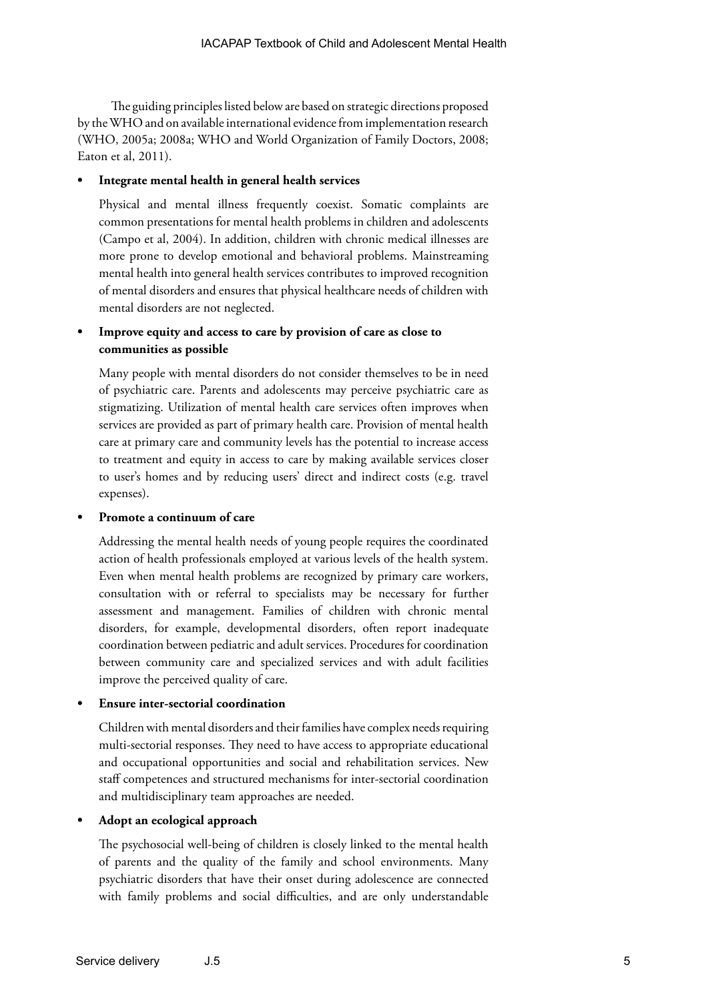The guiding principles listed below are based on strategic directions proposed by the WHO and on available international evidence from implementation research (WHO, 2005a; 2008a; WHO and World Organization of Family Doctors, 2008; Eaton et al, 2011).

## **• Integrate mental health in general health services**

Physical and mental illness frequently coexist. Somatic complaints are common presentations for mental health problems in children and adolescents (Campo et al, 2004). In addition, children with chronic medical illnesses are more prone to develop emotional and behavioral problems. Mainstreaming mental health into general health services contributes to improved recognition of mental disorders and ensures that physical healthcare needs of children with mental disorders are not neglected.

## **• Improve equity and access to care by provision of care as close to communities as possible**

Many people with mental disorders do not consider themselves to be in need of psychiatric care. Parents and adolescents may perceive psychiatric care as stigmatizing. Utilization of mental health care services often improves when services are provided as part of primary health care. Provision of mental health care at primary care and community levels has the potential to increase access to treatment and equity in access to care by making available services closer to user's homes and by reducing users' direct and indirect costs (e.g. travel expenses).

## **• Promote a continuum of care**

Addressing the mental health needs of young people requires the coordinated action of health professionals employed at various levels of the health system. Even when mental health problems are recognized by primary care workers, consultation with or referral to specialists may be necessary for further assessment and management. Families of children with chronic mental disorders, for example, developmental disorders, often report inadequate coordination between pediatric and adult services. Procedures for coordination between community care and specialized services and with adult facilities improve the perceived quality of care.

## **• Ensure inter-sectorial coordination**

Children with mental disorders and their families have complex needs requiring multi-sectorial responses. They need to have access to appropriate educational and occupational opportunities and social and rehabilitation services. New staff competences and structured mechanisms for inter-sectorial coordination and multidisciplinary team approaches are needed.

## **• Adopt an ecological approach**

The psychosocial well-being of children is closely linked to the mental health of parents and the quality of the family and school environments. Many psychiatric disorders that have their onset during adolescence are connected with family problems and social difficulties, and are only understandable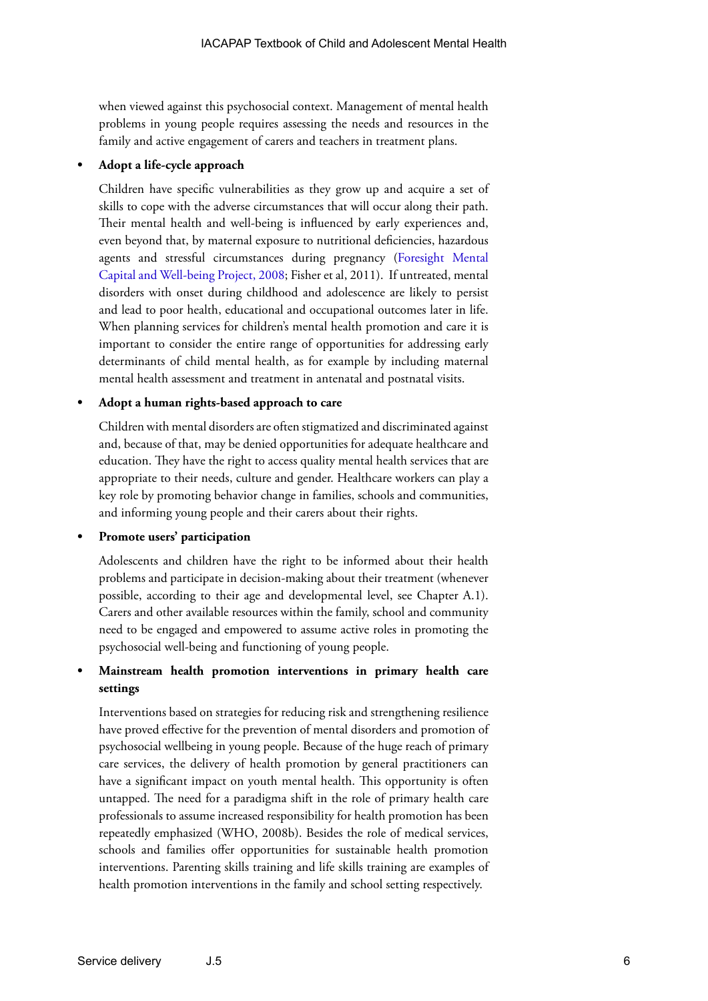when viewed against this psychosocial context. Management of mental health problems in young people requires assessing the needs and resources in the family and active engagement of carers and teachers in treatment plans.

## **• Adopt a life-cycle approach**

Children have specific vulnerabilities as they grow up and acquire a set of skills to cope with the adverse circumstances that will occur along their path. Their mental health and well-being is influenced by early experiences and, even beyond that, by maternal exposure to nutritional deficiencies, hazardous agents and stressful circumstances during pregnancy [\(Foresight Mental](http://www.bis.gov.uk/assets/biscore/corporate/migratedD/ec_group/116-08-FO_b)  [Capital and Well-being Project, 2008](http://www.bis.gov.uk/assets/biscore/corporate/migratedD/ec_group/116-08-FO_b); Fisher et al, 2011). If untreated, mental disorders with onset during childhood and adolescence are likely to persist and lead to poor health, educational and occupational outcomes later in life. When planning services for children's mental health promotion and care it is important to consider the entire range of opportunities for addressing early determinants of child mental health, as for example by including maternal mental health assessment and treatment in antenatal and postnatal visits.

## **• Adopt a human rights-based approach to care**

Children with mental disorders are often stigmatized and discriminated against and, because of that, may be denied opportunities for adequate healthcare and education. They have the right to access quality mental health services that are appropriate to their needs, culture and gender. Healthcare workers can play a key role by promoting behavior change in families, schools and communities, and informing young people and their carers about their rights.

#### **• Promote users' participation**

Adolescents and children have the right to be informed about their health problems and participate in decision-making about their treatment (whenever possible, according to their age and developmental level, see Chapter A.1). Carers and other available resources within the family, school and community need to be engaged and empowered to assume active roles in promoting the psychosocial well-being and functioning of young people.

## **• Mainstream health promotion interventions in primary health care settings**

Interventions based on strategies for reducing risk and strengthening resilience have proved effective for the prevention of mental disorders and promotion of psychosocial wellbeing in young people. Because of the huge reach of primary care services, the delivery of health promotion by general practitioners can have a significant impact on youth mental health. This opportunity is often untapped. The need for a paradigma shift in the role of primary health care professionals to assume increased responsibility for health promotion has been repeatedly emphasized (WHO, 2008b). Besides the role of medical services, schools and families offer opportunities for sustainable health promotion interventions. Parenting skills training and life skills training are examples of health promotion interventions in the family and school setting respectively.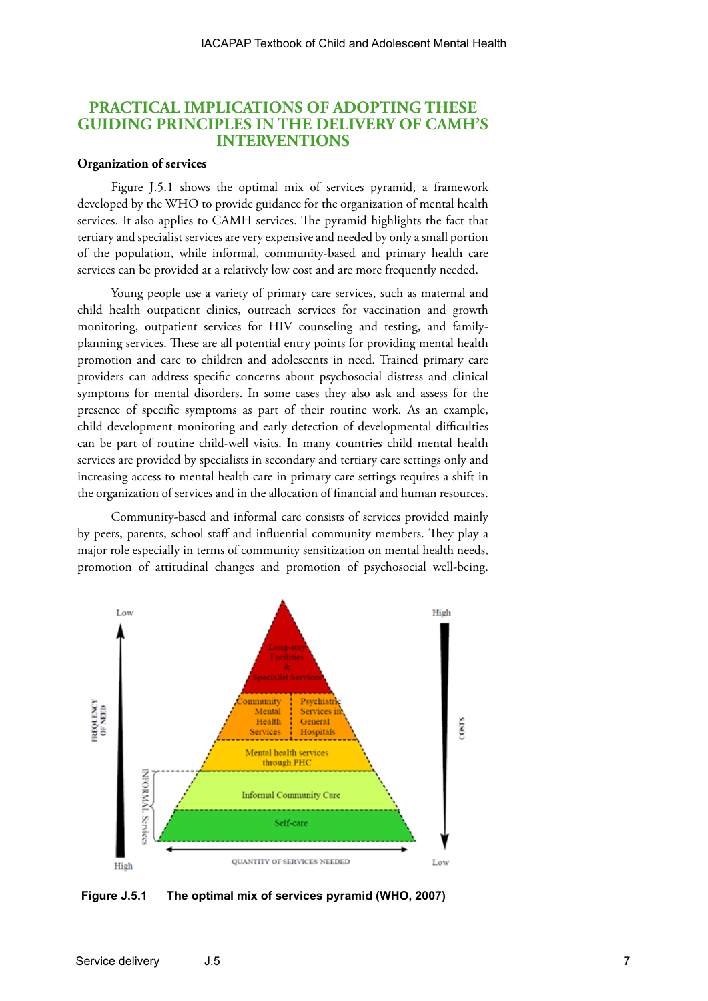## **PRACTICAL IMPLICATIONS OF ADOPTING THESE GUIDING PRINCIPLES IN THE DELIVERY OF CAMH'S INTERVENTIONS**

## **Organization of services**

Figure J.5.1 shows the optimal mix of services pyramid, a framework developed by the WHO to provide guidance for the organization of mental health services. It also applies to CAMH services. The pyramid highlights the fact that tertiary and specialist services are very expensive and needed by only a small portion of the population, while informal, community-based and primary health care services can be provided at a relatively low cost and are more frequently needed.

Young people use a variety of primary care services, such as maternal and child health outpatient clinics, outreach services for vaccination and growth monitoring, outpatient services for HIV counseling and testing, and familyplanning services. These are all potential entry points for providing mental health promotion and care to children and adolescents in need. Trained primary care providers can address specific concerns about psychosocial distress and clinical symptoms for mental disorders. In some cases they also ask and assess for the presence of specific symptoms as part of their routine work. As an example, child development monitoring and early detection of developmental difficulties can be part of routine child-well visits. In many countries child mental health services are provided by specialists in secondary and tertiary care settings only and increasing access to mental health care in primary care settings requires a shift in the organization of services and in the allocation of financial and human resources.

Community-based and informal care consists of services provided mainly by peers, parents, school staff and influential community members. They play a major role especially in terms of community sensitization on mental health needs, promotion of attitudinal changes and promotion of psychosocial well-being.



**Figure J.5.1 The optimal mix of services pyramid (WHO, 2007)**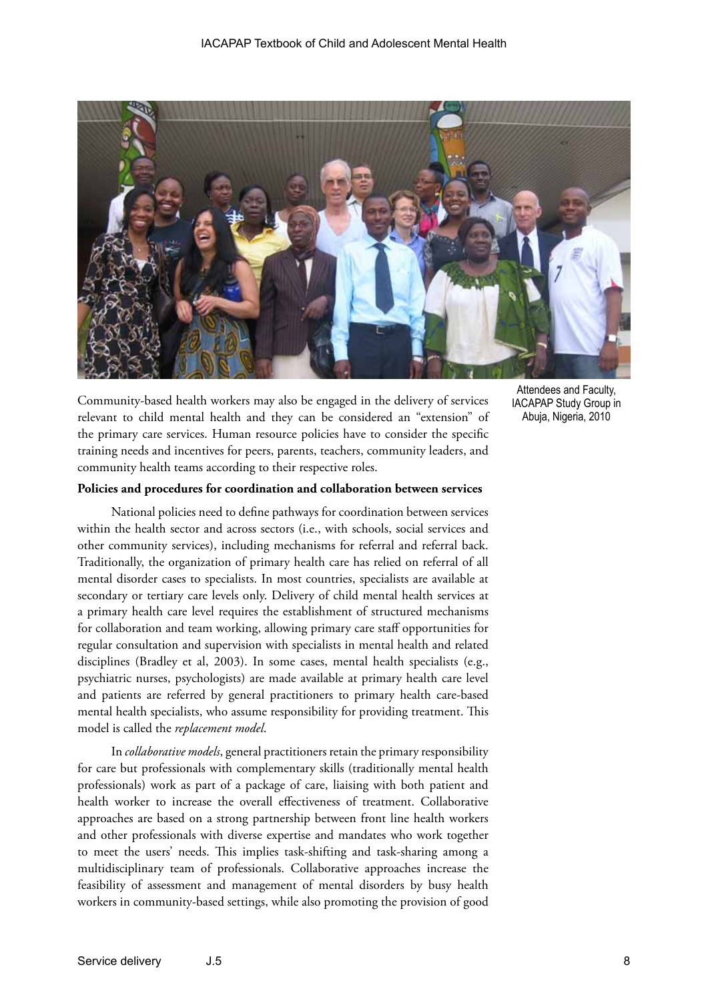

Community-based health workers may also be engaged in the delivery of services relevant to child mental health and they can be considered an "extension" of the primary care services. Human resource policies have to consider the specific training needs and incentives for peers, parents, teachers, community leaders, and community health teams according to their respective roles.

## **Policies and procedures for coordination and collaboration between services**

National policies need to define pathways for coordination between services within the health sector and across sectors (i.e., with schools, social services and other community services), including mechanisms for referral and referral back. Traditionally, the organization of primary health care has relied on referral of all mental disorder cases to specialists. In most countries, specialists are available at secondary or tertiary care levels only. Delivery of child mental health services at a primary health care level requires the establishment of structured mechanisms for collaboration and team working, allowing primary care staff opportunities for regular consultation and supervision with specialists in mental health and related disciplines (Bradley et al, 2003). In some cases, mental health specialists (e.g., psychiatric nurses, psychologists) are made available at primary health care level and patients are referred by general practitioners to primary health care-based mental health specialists, who assume responsibility for providing treatment. This model is called the *replacement model*.

In *collaborative models*, general practitioners retain the primary responsibility for care but professionals with complementary skills (traditionally mental health professionals) work as part of a package of care, liaising with both patient and health worker to increase the overall effectiveness of treatment. Collaborative approaches are based on a strong partnership between front line health workers and other professionals with diverse expertise and mandates who work together to meet the users' needs. This implies task-shifting and task-sharing among a multidisciplinary team of professionals. Collaborative approaches increase the feasibility of assessment and management of mental disorders by busy health workers in community-based settings, while also promoting the provision of good

Attendees and Faculty, IACAPAP Study Group in Abuja, Nigeria, 2010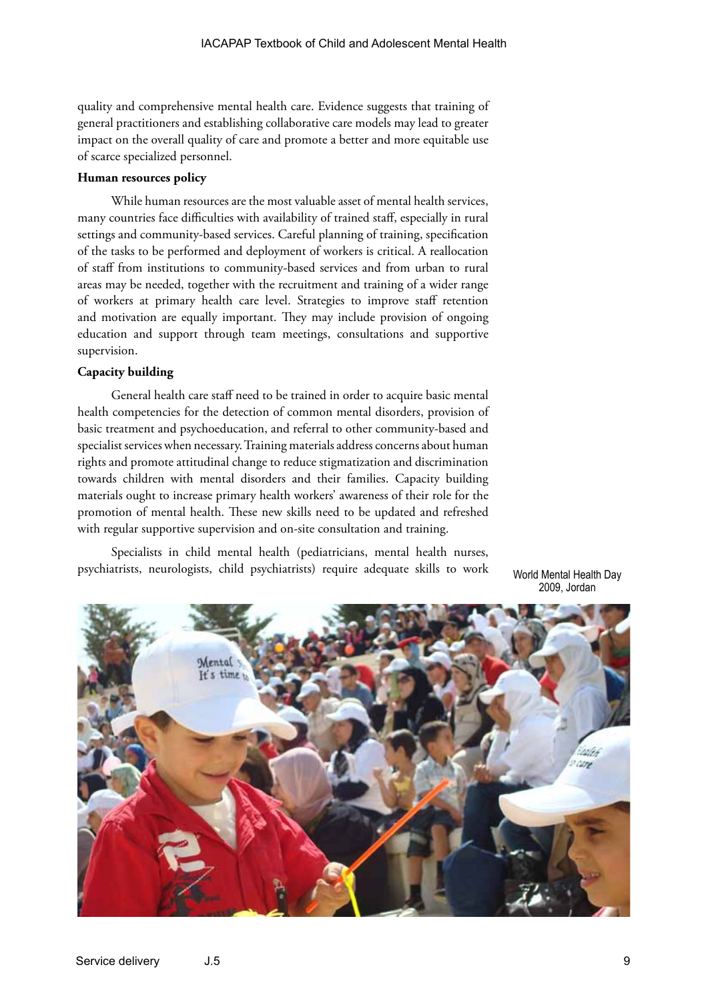quality and comprehensive mental health care. Evidence suggests that training of general practitioners and establishing collaborative care models may lead to greater impact on the overall quality of care and promote a better and more equitable use of scarce specialized personnel.

#### **Human resources policy**

While human resources are the most valuable asset of mental health services, many countries face difficulties with availability of trained staff, especially in rural settings and community-based services. Careful planning of training, specification of the tasks to be performed and deployment of workers is critical. A reallocation of staff from institutions to community-based services and from urban to rural areas may be needed, together with the recruitment and training of a wider range of workers at primary health care level. Strategies to improve staff retention and motivation are equally important. They may include provision of ongoing education and support through team meetings, consultations and supportive supervision.

#### **Capacity building**

General health care staff need to be trained in order to acquire basic mental health competencies for the detection of common mental disorders, provision of basic treatment and psychoeducation, and referral to other community-based and specialist services when necessary. Training materials address concerns about human rights and promote attitudinal change to reduce stigmatization and discrimination towards children with mental disorders and their families. Capacity building materials ought to increase primary health workers' awareness of their role for the promotion of mental health. These new skills need to be updated and refreshed with regular supportive supervision and on-site consultation and training.

Specialists in child mental health (pediatricians, mental health nurses, psychiatrists, neurologists, child psychiatrists) require adequate skills to work

World Mental Health Day 2009, Jordan

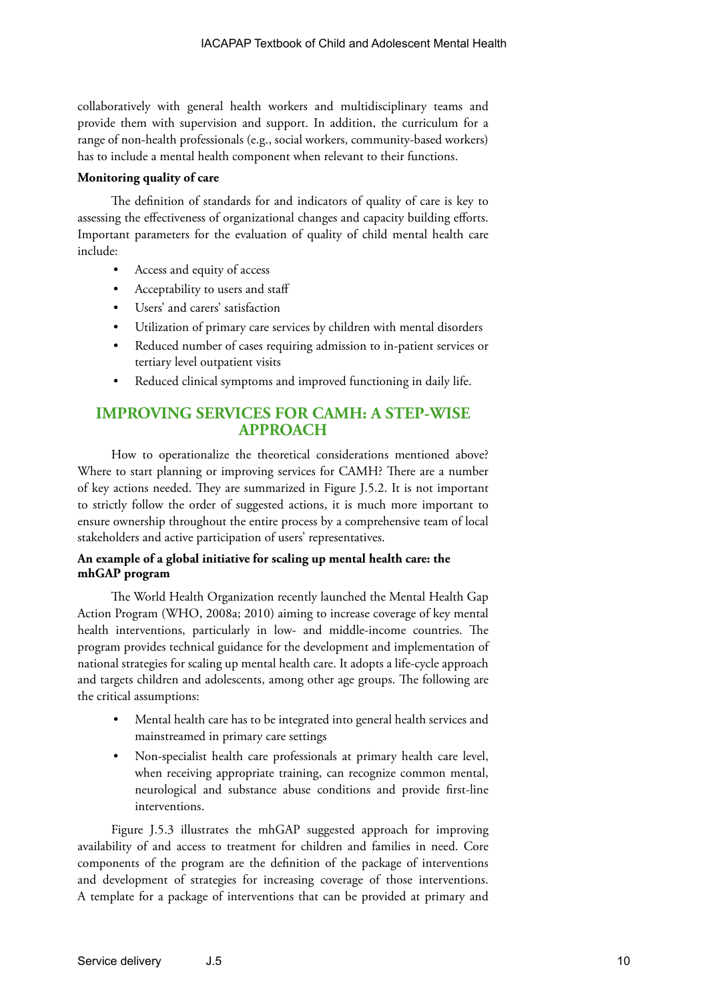collaboratively with general health workers and multidisciplinary teams and provide them with supervision and support. In addition, the curriculum for a range of non-health professionals (e.g., social workers, community-based workers) has to include a mental health component when relevant to their functions.

## **Monitoring quality of care**

The definition of standards for and indicators of quality of care is key to assessing the effectiveness of organizational changes and capacity building efforts. Important parameters for the evaluation of quality of child mental health care include:

- Access and equity of access
- Acceptability to users and staff
- Users' and carers' satisfaction
- Utilization of primary care services by children with mental disorders
- Reduced number of cases requiring admission to in-patient services or tertiary level outpatient visits
- Reduced clinical symptoms and improved functioning in daily life.

# **IMPROVING SERVICES FOR CAMH: A STEP-WISE APPROACH**

How to operationalize the theoretical considerations mentioned above? Where to start planning or improving services for CAMH? There are a number of key actions needed. They are summarized in Figure J.5.2. It is not important to strictly follow the order of suggested actions, it is much more important to ensure ownership throughout the entire process by a comprehensive team of local stakeholders and active participation of users' representatives.

## **An example of a global initiative for scaling up mental health care: the mhGAP program**

The World Health Organization recently launched the Mental Health Gap Action Program (WHO, 2008a; 2010) aiming to increase coverage of key mental health interventions, particularly in low- and middle-income countries. The program provides technical guidance for the development and implementation of national strategies for scaling up mental health care. It adopts a life-cycle approach and targets children and adolescents, among other age groups. The following are the critical assumptions:

- Mental health care has to be integrated into general health services and mainstreamed in primary care settings
- Non-specialist health care professionals at primary health care level, when receiving appropriate training, can recognize common mental, neurological and substance abuse conditions and provide first-line interventions.

Figure J.5.3 illustrates the mhGAP suggested approach for improving availability of and access to treatment for children and families in need. Core components of the program are the definition of the package of interventions and development of strategies for increasing coverage of those interventions. A template for a package of interventions that can be provided at primary and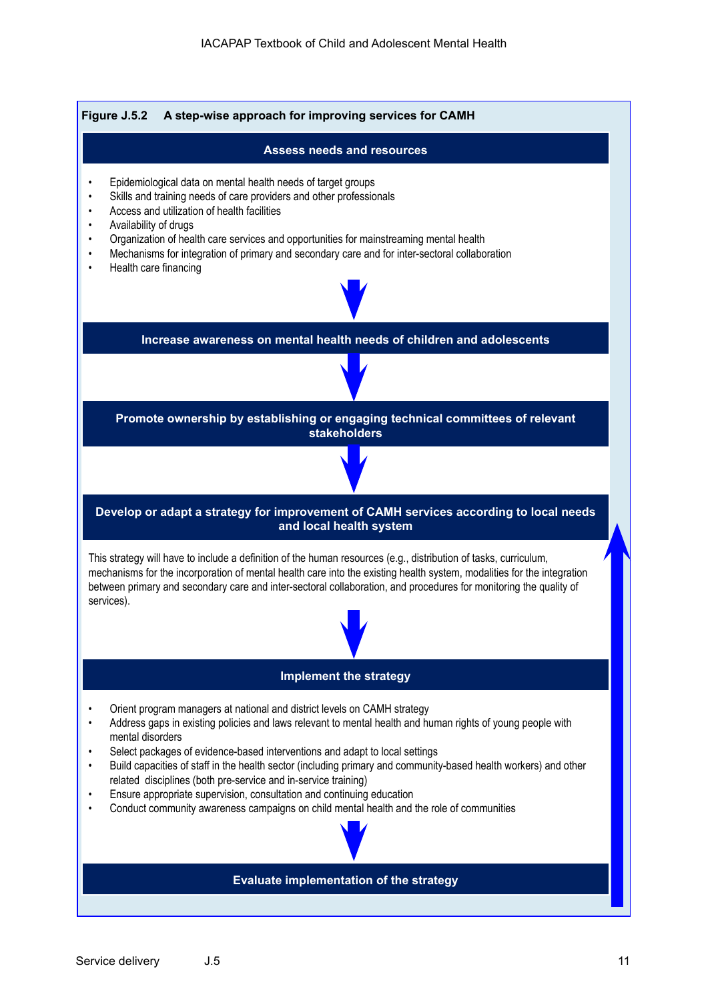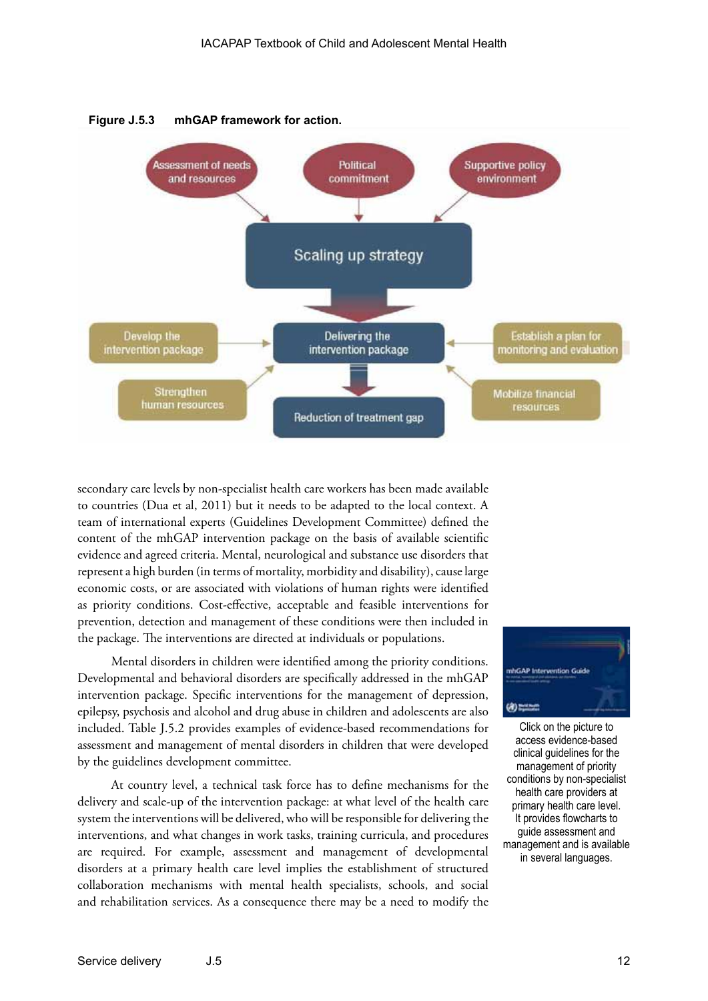



secondary care levels by non-specialist health care workers has been made available to countries (Dua et al, 2011) but it needs to be adapted to the local context. A team of international experts (Guidelines Development Committee) defined the content of the mhGAP intervention package on the basis of available scientific evidence and agreed criteria. Mental, neurological and substance use disorders that represent a high burden (in terms of mortality, morbidity and disability), cause large economic costs, or are associated with violations of human rights were identified as priority conditions. Cost-effective, acceptable and feasible interventions for prevention, detection and management of these conditions were then included in the package. The interventions are directed at individuals or populations.

Mental disorders in children were identified among the priority conditions. Developmental and behavioral disorders are specifically addressed in the mhGAP intervention package. Specific interventions for the management of depression, epilepsy, psychosis and alcohol and drug abuse in children and adolescents are also included. Table J.5.2 provides examples of evidence-based recommendations for assessment and management of mental disorders in children that were developed by the guidelines development committee.

At country level, a technical task force has to define mechanisms for the delivery and scale-up of the intervention package: at what level of the health care system the interventions will be delivered, who will be responsible for delivering the interventions, and what changes in work tasks, training curricula, and procedures are required. For example, assessment and management of developmental disorders at a primary health care level implies the establishment of structured collaboration mechanisms with mental health specialists, schools, and social and rehabilitation services. As a consequence there may be a need to modify the



Click on the picture to access evidence-based clinical guidelines for the management of priority conditions by non-specialist health care providers at primary health care level. It provides flowcharts to guide assessment and management and is available in several languages.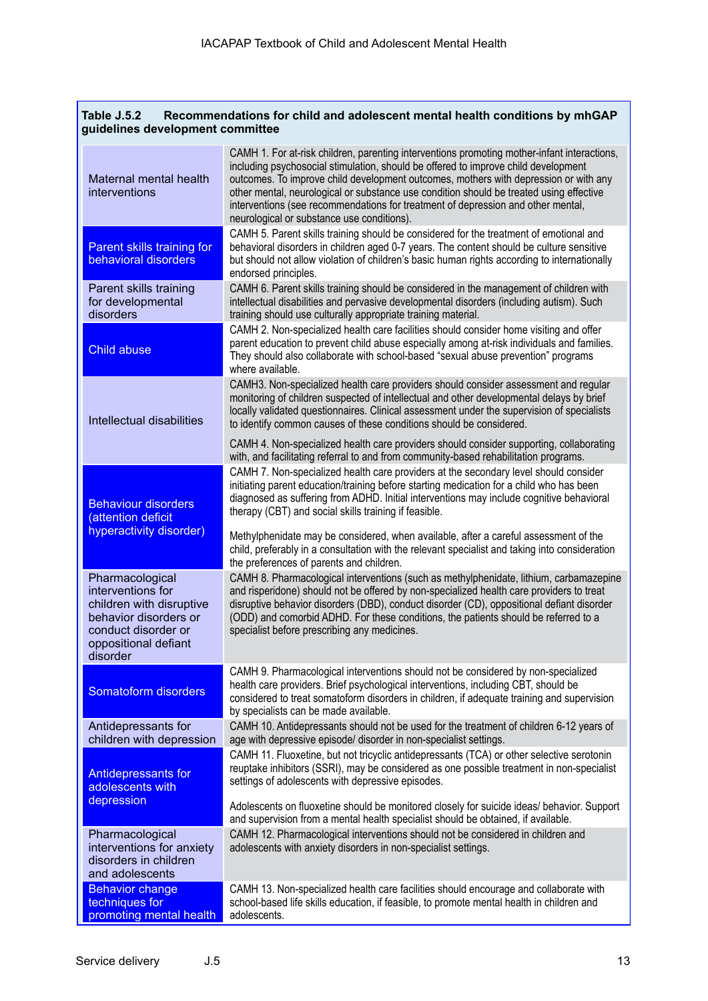| Table J.5.2<br>Recommendations for child and adolescent mental health conditions by mhGAP<br>guidelines development committee                        |                                                                                                                                                                                                                                                                                                                                                                                                                                                                                                                                                                             |  |
|------------------------------------------------------------------------------------------------------------------------------------------------------|-----------------------------------------------------------------------------------------------------------------------------------------------------------------------------------------------------------------------------------------------------------------------------------------------------------------------------------------------------------------------------------------------------------------------------------------------------------------------------------------------------------------------------------------------------------------------------|--|
| Maternal mental health<br>interventions                                                                                                              | CAMH 1. For at-risk children, parenting interventions promoting mother-infant interactions,<br>including psychosocial stimulation, should be offered to improve child development<br>outcomes. To improve child development outcomes, mothers with depression or with any<br>other mental, neurological or substance use condition should be treated using effective<br>interventions (see recommendations for treatment of depression and other mental,<br>neurological or substance use conditions).                                                                      |  |
| Parent skills training for<br>behavioral disorders                                                                                                   | CAMH 5. Parent skills training should be considered for the treatment of emotional and<br>behavioral disorders in children aged 0-7 years. The content should be culture sensitive<br>but should not allow violation of children's basic human rights according to internationally<br>endorsed principles.                                                                                                                                                                                                                                                                  |  |
| Parent skills training<br>for developmental<br>disorders                                                                                             | CAMH 6. Parent skills training should be considered in the management of children with<br>intellectual disabilities and pervasive developmental disorders (including autism). Such<br>training should use culturally appropriate training material.                                                                                                                                                                                                                                                                                                                         |  |
| <b>Child abuse</b>                                                                                                                                   | CAMH 2. Non-specialized health care facilities should consider home visiting and offer<br>parent education to prevent child abuse especially among at-risk individuals and families.<br>They should also collaborate with school-based "sexual abuse prevention" programs<br>where available.                                                                                                                                                                                                                                                                               |  |
| Intellectual disabilities                                                                                                                            | CAMH3. Non-specialized health care providers should consider assessment and regular<br>monitoring of children suspected of intellectual and other developmental delays by brief<br>locally validated questionnaires. Clinical assessment under the supervision of specialists<br>to identify common causes of these conditions should be considered.                                                                                                                                                                                                                        |  |
|                                                                                                                                                      | CAMH 4. Non-specialized health care providers should consider supporting, collaborating<br>with, and facilitating referral to and from community-based rehabilitation programs.                                                                                                                                                                                                                                                                                                                                                                                             |  |
| <b>Behaviour disorders</b><br>(attention deficit<br>hyperactivity disorder)                                                                          | CAMH 7. Non-specialized health care providers at the secondary level should consider<br>initiating parent education/training before starting medication for a child who has been<br>diagnosed as suffering from ADHD. Initial interventions may include cognitive behavioral<br>therapy (CBT) and social skills training if feasible.<br>Methylphenidate may be considered, when available, after a careful assessment of the<br>child, preferably in a consultation with the relevant specialist and taking into consideration<br>the preferences of parents and children. |  |
| Pharmacological<br>interventions for<br>children with disruptive<br>behavior disorders or<br>conduct disorder or<br>oppositional defiant<br>disorder | CAMH 8. Pharmacological interventions (such as methylphenidate, lithium, carbamazepine<br>and risperidone) should not be offered by non-specialized health care providers to treat<br>disruptive behavior disorders (DBD), conduct disorder (CD), oppositional defiant disorder<br>(ODD) and comorbid ADHD. For these conditions, the patients should be referred to a<br>specialist before prescribing any medicines.                                                                                                                                                      |  |
| Somatoform disorders                                                                                                                                 | CAMH 9. Pharmacological interventions should not be considered by non-specialized<br>health care providers. Brief psychological interventions, including CBT, should be<br>considered to treat somatoform disorders in children, if adequate training and supervision<br>by specialists can be made available.                                                                                                                                                                                                                                                              |  |
| Antidepressants for<br>children with depression                                                                                                      | CAMH 10. Antidepressants should not be used for the treatment of children 6-12 years of<br>age with depressive episode/ disorder in non-specialist settings.                                                                                                                                                                                                                                                                                                                                                                                                                |  |
| <b>Antidepressants for</b><br>adolescents with<br>depression                                                                                         | CAMH 11. Fluoxetine, but not tricyclic antidepressants (TCA) or other selective serotonin<br>reuptake inhibitors (SSRI), may be considered as one possible treatment in non-specialist<br>settings of adolescents with depressive episodes.<br>Adolescents on fluoxetine should be monitored closely for suicide ideas/ behavior. Support                                                                                                                                                                                                                                   |  |
| Pharmacological<br>interventions for anxiety<br>disorders in children<br>and adolescents                                                             | and supervision from a mental health specialist should be obtained, if available.<br>CAMH 12. Pharmacological interventions should not be considered in children and<br>adolescents with anxiety disorders in non-specialist settings.                                                                                                                                                                                                                                                                                                                                      |  |
| <b>Behavior change</b><br>techniques for<br>promoting mental health                                                                                  | CAMH 13. Non-specialized health care facilities should encourage and collaborate with<br>school-based life skills education, if feasible, to promote mental health in children and<br>adolescents.                                                                                                                                                                                                                                                                                                                                                                          |  |

Г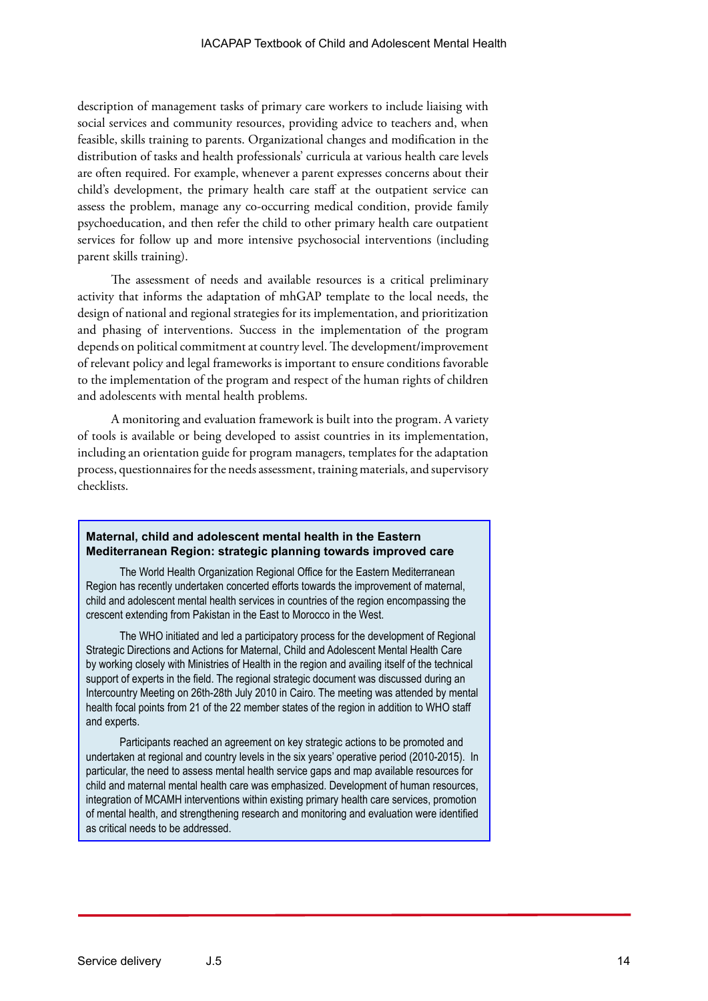description of management tasks of primary care workers to include liaising with social services and community resources, providing advice to teachers and, when feasible, skills training to parents. Organizational changes and modification in the distribution of tasks and health professionals' curricula at various health care levels are often required. For example, whenever a parent expresses concerns about their child's development, the primary health care staff at the outpatient service can assess the problem, manage any co-occurring medical condition, provide family psychoeducation, and then refer the child to other primary health care outpatient services for follow up and more intensive psychosocial interventions (including parent skills training).

The assessment of needs and available resources is a critical preliminary activity that informs the adaptation of mhGAP template to the local needs, the design of national and regional strategies for its implementation, and prioritization and phasing of interventions. Success in the implementation of the program depends on political commitment at country level. The development/improvement of relevant policy and legal frameworks is important to ensure conditions favorable to the implementation of the program and respect of the human rights of children and adolescents with mental health problems.

A monitoring and evaluation framework is built into the program. A variety of tools is available or being developed to assist countries in its implementation, including an orientation guide for program managers, templates for the adaptation process, questionnaires for the needs assessment, training materials, and supervisory checklists.

#### **Maternal, child and adolescent mental health in the Eastern Mediterranean Region: strategic planning towards improved care**

The World Health Organization Regional Office for the Eastern Mediterranean Region has recently undertaken concerted efforts towards the improvement of maternal, child and adolescent mental health services in countries of the region encompassing the crescent extending from Pakistan in the East to Morocco in the West.

The WHO initiated and led a participatory process for the development of Regional Strategic Directions and Actions for Maternal, Child and Adolescent Mental Health Care by working closely with Ministries of Health in the region and availing itself of the technical support of experts in the field. The regional strategic document was discussed during an Intercountry Meeting on 26th-28th July 2010 in Cairo. The meeting was attended by mental health focal points from 21 of the 22 member states of the region in addition to WHO staff and experts.

Participants reached an agreement on key strategic actions to be promoted and undertaken at regional and country levels in the six years' operative period (2010-2015). In particular, the need to assess mental health service gaps and map available resources for child and maternal mental health care was emphasized. Development of human resources, integration of MCAMH interventions within existing primary health care services, promotion of mental health, and strengthening research and monitoring and evaluation were identified as critical needs to be addressed.